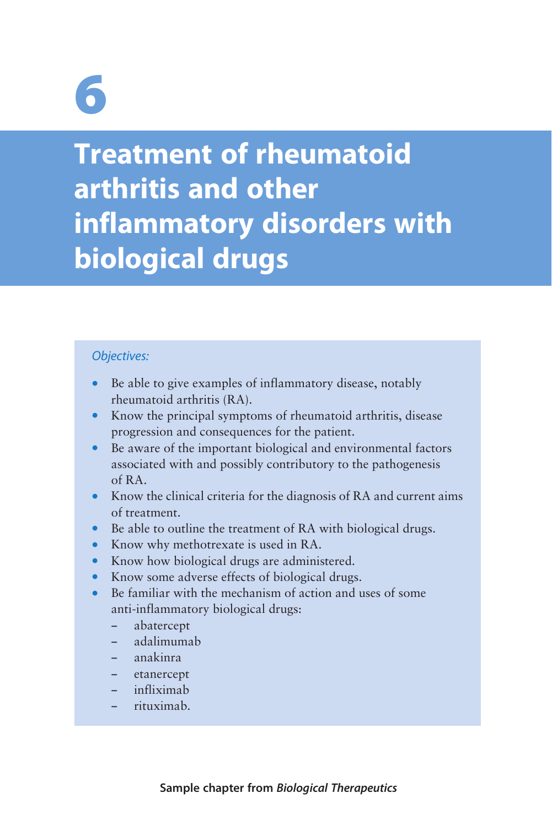# *6*

# Treatment of rheumatoid arthritis and other inflammatory disorders with biological drugs

# Objectives:

- Be able to give examples of inflammatory disease, notably rheumatoid arthritis (RA).
- Know the principal symptoms of rheumatoid arthritis, disease progression and consequences for the patient.
- Be aware of the important biological and environmental factors associated with and possibly contributory to the pathogenesis of RA.
- Know the clinical criteria for the diagnosis of RA and current aims of treatment.
- Be able to outline the treatment of RA with biological drugs.
- Know why methotrexate is used in RA.
- Know how biological drugs are administered.
- Know some adverse effects of biological drugs.
- Be familiar with the mechanism of action and uses of some anti-inflammatory biological drugs:
	- abatercept
	- adalimumab
	- anakinra
	- etanercept
	- infliximab
	- rituximab.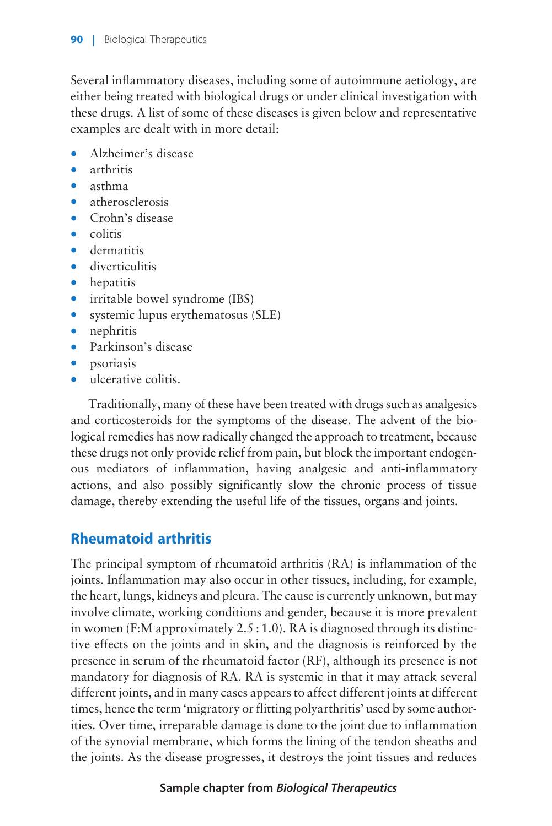Several inflammatory diseases, including some of autoimmune aetiology, are either being treated with biological drugs or under clinical investigation with these drugs. A list of some of these diseases is given below and representative examples are dealt with in more detail:

- Alzheimer's disease
- $\bullet$  arthritis
- $\bullet$  asthma
- atherosclerosis
- $\bullet$  Crohn's disease
- $\bullet$  colitis
- $\bullet$  dermatitis
- $\bullet$  diverticulitis
- hepatitis
- irritable bowel syndrome (IBS)
- systemic lupus erythematosus (SLE)
- $\bullet$  nephritis
- Parkinson's disease
- psoriasis
- ulcerative colitis.

Traditionally, many of these have been treated with drugs such as analgesics and corticosteroids for the symptoms of the disease. The advent of the biological remedies has now radically changed the approach to treatment, because these drugs not only provide relief from pain, but block the important endogenous mediators of inflammation, having analgesic and anti-inflammatory actions, and also possibly significantly slow the chronic process of tissue damage, thereby extending the useful life of the tissues, organs and joints.

# Rheumatoid arthritis

The principal symptom of rheumatoid arthritis (RA) is inflammation of the joints. Inflammation may also occur in other tissues, including, for example, the heart, lungs, kidneys and pleura. The cause is currently unknown, but may involve climate, working conditions and gender, because it is more prevalent in women (F:M approximately  $2.5:1.0$ ). RA is diagnosed through its distinctive effects on the joints and in skin, and the diagnosis is reinforced by the presence in serum of the rheumatoid factor (RF), although its presence is not mandatory for diagnosis of RA. RA is systemic in that it may attack several different joints, and in many cases appears to affect different joints at different times, hence the term 'migratory or flitting polyarthritis' used by some authorities. Over time, irreparable damage is done to the joint due to inflammation of the synovial membrane, which forms the lining of the tendon sheaths and the joints. As the disease progresses, it destroys the joint tissues and reduces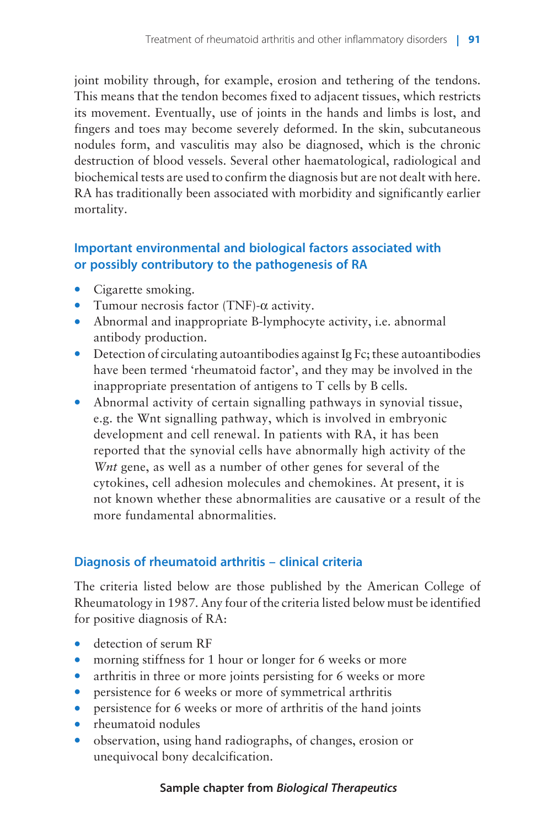joint mobility through, for example, erosion and tethering of the tendons. This means that the tendon becomes fixed to adjacent tissues, which restricts its movement. Eventually, use of joints in the hands and limbs is lost, and fingers and toes may become severely deformed. In the skin, subcutaneous nodules form, and vasculitis may also be diagnosed, which is the chronic destruction of blood vessels. Several other haematological, radiological and biochemical tests are used to confirm the diagnosis but are not dealt with here. RA has traditionally been associated with morbidity and significantly earlier mortality.

# Important environmental and biological factors associated with or possibly contributory to the pathogenesis of RA

- Cigarette smoking.
- $\bullet$  Tumour necrosis factor (TNF)- $\alpha$  activity.
- \* Abnormal and inappropriate B-lymphocyte activity, i.e. abnormal antibody production.
- \* Detection of circulating autoantibodies against Ig Fc; these autoantibodies have been termed 'rheumatoid factor', and they may be involved in the inappropriate presentation of antigens to T cells by B cells.
- \* Abnormal activity of certain signalling pathways in synovial tissue, e.g. the Wnt signalling pathway, which is involved in embryonic development and cell renewal. In patients with RA, it has been reported that the synovial cells have abnormally high activity of the Wnt gene, as well as a number of other genes for several of the cytokines, cell adhesion molecules and chemokines. At present, it is not known whether these abnormalities are causative or a result of the more fundamental abnormalities.

# Diagnosis of rheumatoid arthritis – clinical criteria

The criteria listed below are those published by the American College of Rheumatology in 1987. Any four of the criteria listed below must be identified for positive diagnosis of RA:

- detection of serum RF
- morning stiffness for 1 hour or longer for 6 weeks or more
- arthritis in three or more joints persisting for 6 weeks or more
- persistence for 6 weeks or more of symmetrical arthritis
- persistence for 6 weeks or more of arthritis of the hand joints
- rheumatoid nodules
- \* observation, using hand radiographs, of changes, erosion or unequivocal bony decalcification.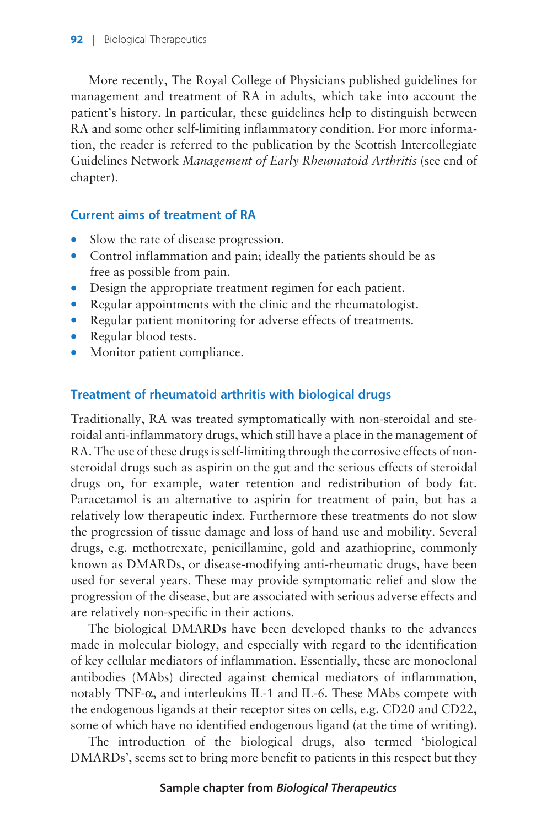More recently, The Royal College of Physicians published guidelines for management and treatment of RA in adults, which take into account the patient's history. In particular, these guidelines help to distinguish between RA and some other self-limiting inflammatory condition. For more information, the reader is referred to the publication by the Scottish Intercollegiate Guidelines Network Management of Early Rheumatoid Arthritis (see end of chapter).

# Current aims of treatment of RA

- Slow the rate of disease progression.
- \* Control inflammation and pain; ideally the patients should be as free as possible from pain.
- Design the appropriate treatment regimen for each patient.
- Regular appointments with the clinic and the rheumatologist.
- Regular patient monitoring for adverse effects of treatments.
- Regular blood tests.
- Monitor patient compliance.

#### Treatment of rheumatoid arthritis with biological drugs

Traditionally, RA was treated symptomatically with non-steroidal and steroidal anti-inflammatory drugs, which still have a place in the management of RA. The use of these drugs is self-limiting through the corrosive effects of nonsteroidal drugs such as aspirin on the gut and the serious effects of steroidal drugs on, for example, water retention and redistribution of body fat. Paracetamol is an alternative to aspirin for treatment of pain, but has a relatively low therapeutic index. Furthermore these treatments do not slow the progression of tissue damage and loss of hand use and mobility. Several drugs, e.g. methotrexate, penicillamine, gold and azathioprine, commonly known as DMARDs, or disease-modifying anti-rheumatic drugs, have been used for several years. These may provide symptomatic relief and slow the progression of the disease, but are associated with serious adverse effects and are relatively non-specific in their actions.

The biological DMARDs have been developed thanks to the advances made in molecular biology, and especially with regard to the identification of key cellular mediators of inflammation. Essentially, these are monoclonal antibodies (MAbs) directed against chemical mediators of inflammation, notably  $TNF-\alpha$ , and interleukins IL-1 and IL-6. These MAbs compete with the endogenous ligands at their receptor sites on cells, e.g. CD20 and CD22, some of which have no identified endogenous ligand (at the time of writing).

The introduction of the biological drugs, also termed 'biological DMARDs', seems set to bring more benefit to patients in this respect but they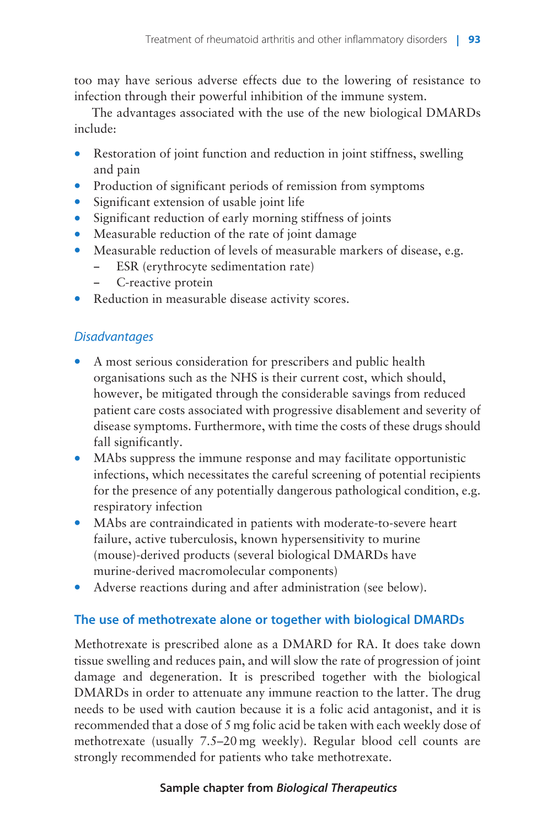too may have serious adverse effects due to the lowering of resistance to infection through their powerful inhibition of the immune system.

The advantages associated with the use of the new biological DMARDs include:

- \* Restoration of joint function and reduction in joint stiffness, swelling and pain
- Production of significant periods of remission from symptoms
- Significant extension of usable joint life
- Significant reduction of early morning stiffness of joints
- \* Measurable reduction of the rate of joint damage
- Measurable reduction of levels of measurable markers of disease, e.g.
	- ESR (erythrocyte sedimentation rate)
	- C-reactive protein
- Reduction in measurable disease activity scores.

# **Disadvantages**

- A most serious consideration for prescribers and public health organisations such as the NHS is their current cost, which should, however, be mitigated through the considerable savings from reduced patient care costs associated with progressive disablement and severity of disease symptoms. Furthermore, with time the costs of these drugs should fall significantly.
- MAbs suppress the immune response and may facilitate opportunistic infections, which necessitates the careful screening of potential recipients for the presence of any potentially dangerous pathological condition, e.g. respiratory infection
- \* MAbs are contraindicated in patients with moderate-to-severe heart failure, active tuberculosis, known hypersensitivity to murine (mouse)-derived products (several biological DMARDs have murine-derived macromolecular components)
- \* Adverse reactions during and after administration (see below).

# The use of methotrexate alone or together with biological DMARDs

Methotrexate is prescribed alone as a DMARD for RA. It does take down tissue swelling and reduces pain, and will slow the rate of progression of joint damage and degeneration. It is prescribed together with the biological DMARDs in order to attenuate any immune reaction to the latter. The drug needs to be used with caution because it is a folic acid antagonist, and it is recommended that a dose of 5 mg folic acid be taken with each weekly dose of methotrexate (usually 7.5–20 mg weekly). Regular blood cell counts are strongly recommended for patients who take methotrexate.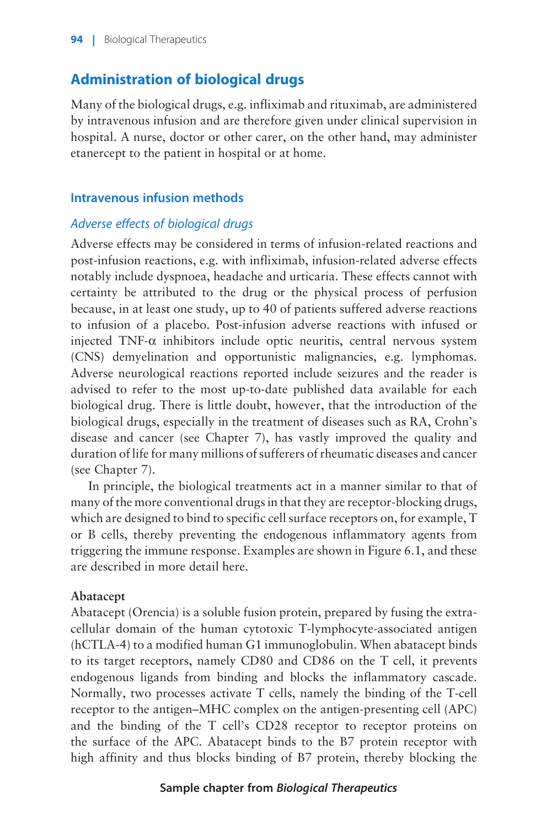# Administration of biological drugs

Many of the biological drugs, e.g. infliximab and rituximab, are administered by intravenous infusion and are therefore given under clinical supervision in hospital. A nurse, doctor or other carer, on the other hand, may administer etanercept to the patient in hospital or at home.

#### Intravenous infusion methods

#### Adverse effects of biological drugs

Adverse effects may be considered in terms of infusion-related reactions and post-infusion reactions, e.g. with infliximab, infusion-related adverse effects notably include dyspnoea, headache and urticaria. These effects cannot with certainty be attributed to the drug or the physical process of perfusion because, in at least one study, up to 40 of patients suffered adverse reactions to infusion of a placebo. Post-infusion adverse reactions with infused or injected TNF- $\alpha$  inhibitors include optic neuritis, central nervous system (CNS) demyelination and opportunistic malignancies, e.g. lymphomas. Adverse neurological reactions reported include seizures and the reader is advised to refer to the most up-to-date published data available for each biological drug. There is little doubt, however, that the introduction of the biological drugs, especially in the treatment of diseases such as RA, Crohn's disease and cancer (see Chapter 7), has vastly improved the quality and duration of life for many millions of sufferers of rheumatic diseases and cancer (see Chapter 7).

In principle, the biological treatments act in a manner similar to that of many of the more conventional drugs in that they are receptor-blocking drugs, which are designed to bind to specific cell surface receptors on, for example, T or B cells, thereby preventing the endogenous inflammatory agents from triggering the immune response. Examples are shown in [Figure 6.1,](#page-6-0) and these are described in more detail here.

#### Abatacept

Abatacept (Orencia) is a soluble fusion protein, prepared by fusing the extracellular domain of the human cytotoxic T-lymphocyte-associated antigen (hCTLA-4) to a modified human G1 immunoglobulin. When abatacept binds to its target receptors, namely CD80 and CD86 on the T cell, it prevents endogenous ligands from binding and blocks the inflammatory cascade. Normally, two processes activate T cells, namely the binding of the T-cell receptor to the antigen–MHC complex on the antigen-presenting cell (APC) and the binding of the T cell's CD28 receptor to receptor proteins on the surface of the APC. Abatacept binds to the B7 protein receptor with high affinity and thus blocks binding of B7 protein, thereby blocking the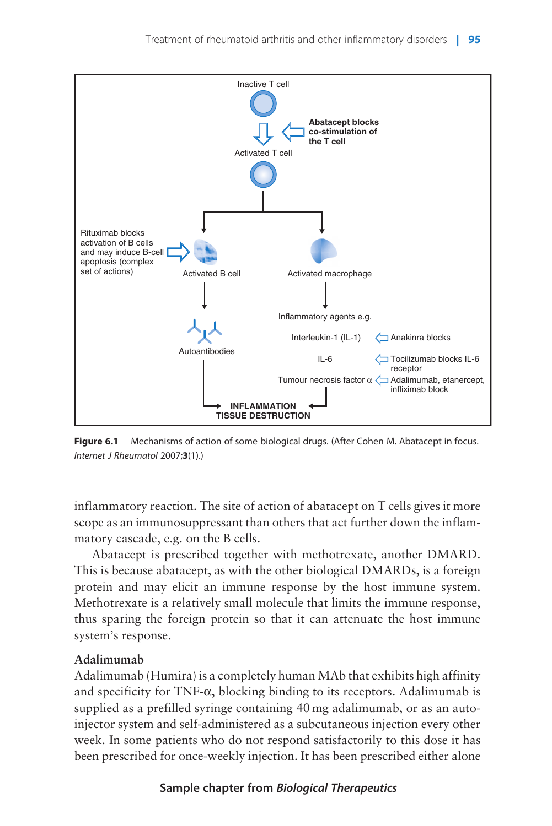<span id="page-6-0"></span>

Figure 6.1 Mechanisms of action of some biological drugs. (After Cohen M. Abatacept in focus. Internet J Rheumatol 2007;3(1).)

inflammatory reaction. The site of action of abatacept on T cells gives it more scope as an immunosuppressant than others that act further down the inflammatory cascade, e.g. on the B cells.

Abatacept is prescribed together with methotrexate, another DMARD. This is because abatacept, as with the other biological DMARDs, is a foreign protein and may elicit an immune response by the host immune system. Methotrexate is a relatively small molecule that limits the immune response, thus sparing the foreign protein so that it can attenuate the host immune system's response.

#### Adalimumab

Adalimumab (Humira) is a completely human MAb that exhibits high affinity and specificity for TNF- $\alpha$ , blocking binding to its receptors. Adalimumab is supplied as a prefilled syringe containing 40 mg adalimumab, or as an autoinjector system and self-administered as a subcutaneous injection every other week. In some patients who do not respond satisfactorily to this dose it has been prescribed for once-weekly injection. It has been prescribed either alone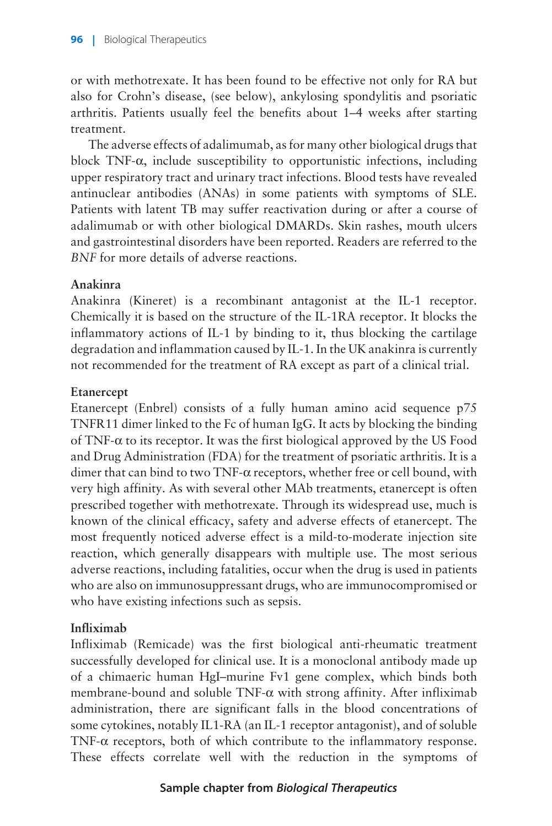or with methotrexate. It has been found to be effective not only for RA but also for Crohn's disease, (see below), ankylosing spondylitis and psoriatic arthritis. Patients usually feel the benefits about 1–4 weeks after starting treatment.

The adverse effects of adalimumab, as for many other biological drugs that block  $TNF-\alpha$ , include susceptibility to opportunistic infections, including upper respiratory tract and urinary tract infections. Blood tests have revealed antinuclear antibodies (ANAs) in some patients with symptoms of SLE. Patients with latent TB may suffer reactivation during or after a course of adalimumab or with other biological DMARDs. Skin rashes, mouth ulcers and gastrointestinal disorders have been reported. Readers are referred to the BNF for more details of adverse reactions.

#### Anakinra

Anakinra (Kineret) is a recombinant antagonist at the IL-1 receptor. Chemically it is based on the structure of the IL-1RA receptor. It blocks the inflammatory actions of IL-1 by binding to it, thus blocking the cartilage degradation and inflammation caused by IL-1. In the UK anakinra is currently not recommended for the treatment of RA except as part of a clinical trial.

#### Etanercept

Etanercept (Enbrel) consists of a fully human amino acid sequence p75 TNFR11 dimer linked to the Fc of human IgG. It acts by blocking the binding of  $TNF-\alpha$  to its receptor. It was the first biological approved by the US Food and Drug Administration (FDA) for the treatment of psoriatic arthritis. It is a dimer that can bind to two TNF-a receptors, whether free or cell bound, with very high affinity. As with several other MAb treatments, etanercept is often prescribed together with methotrexate. Through its widespread use, much is known of the clinical efficacy, safety and adverse effects of etanercept. The most frequently noticed adverse effect is a mild-to-moderate injection site reaction, which generally disappears with multiple use. The most serious adverse reactions, including fatalities, occur when the drug is used in patients who are also on immunosuppressant drugs, who are immunocompromised or who have existing infections such as sepsis.

# Infliximab

Infliximab (Remicade) was the first biological anti-rheumatic treatment successfully developed for clinical use. It is a monoclonal antibody made up of a chimaeric human HgI–murine Fv1 gene complex, which binds both membrane-bound and soluble  $TNF-\alpha$  with strong affinity. After infliximab administration, there are significant falls in the blood concentrations of some cytokines, notably IL1-RA (an IL-1 receptor antagonist), and of soluble TNF- $\alpha$  receptors, both of which contribute to the inflammatory response. These effects correlate well with the reduction in the symptoms of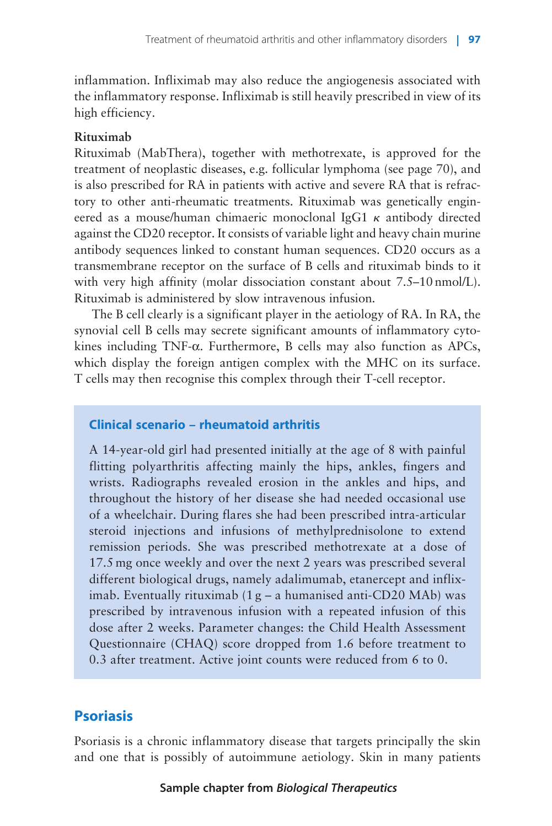inflammation. Infliximab may also reduce the angiogenesis associated with the inflammatory response. Infliximab is still heavily prescribed in view of its high efficiency.

#### Rituximab

Rituximab (MabThera), together with methotrexate, is approved for the treatment of neoplastic diseases, e.g. follicular lymphoma (see page 70), and is also prescribed for RA in patients with active and severe RA that is refractory to other anti-rheumatic treatments. Rituximab was genetically engineered as a mouse/human chimaeric monoclonal IgG1  $\kappa$  antibody directed against the CD20 receptor. It consists of variable light and heavy chain murine antibody sequences linked to constant human sequences. CD20 occurs as a transmembrane receptor on the surface of B cells and rituximab binds to it with very high affinity (molar dissociation constant about 7.5–10 nmol/L). Rituximab is administered by slow intravenous infusion.

The B cell clearly is a significant player in the aetiology of RA. In RA, the synovial cell B cells may secrete significant amounts of inflammatory cytokines including TNF-a. Furthermore, B cells may also function as APCs, which display the foreign antigen complex with the MHC on its surface. T cells may then recognise this complex through their T-cell receptor.

#### Clinical scenario *–* rheumatoid arthritis

A 14-year-old girl had presented initially at the age of 8 with painful flitting polyarthritis affecting mainly the hips, ankles, fingers and wrists. Radiographs revealed erosion in the ankles and hips, and throughout the history of her disease she had needed occasional use of a wheelchair. During flares she had been prescribed intra-articular steroid injections and infusions of methylprednisolone to extend remission periods. She was prescribed methotrexate at a dose of 17.5 mg once weekly and over the next 2 years was prescribed several different biological drugs, namely adalimumab, etanercept and infliximab. Eventually rituximab  $(1 g - a$  humanised anti-CD20 MAb) was prescribed by intravenous infusion with a repeated infusion of this dose after 2 weeks. Parameter changes: the Child Health Assessment Questionnaire (CHAQ) score dropped from 1.6 before treatment to 0.3 after treatment. Active joint counts were reduced from 6 to 0.

# Psoriasis

Psoriasis is a chronic inflammatory disease that targets principally the skin and one that is possibly of autoimmune aetiology. Skin in many patients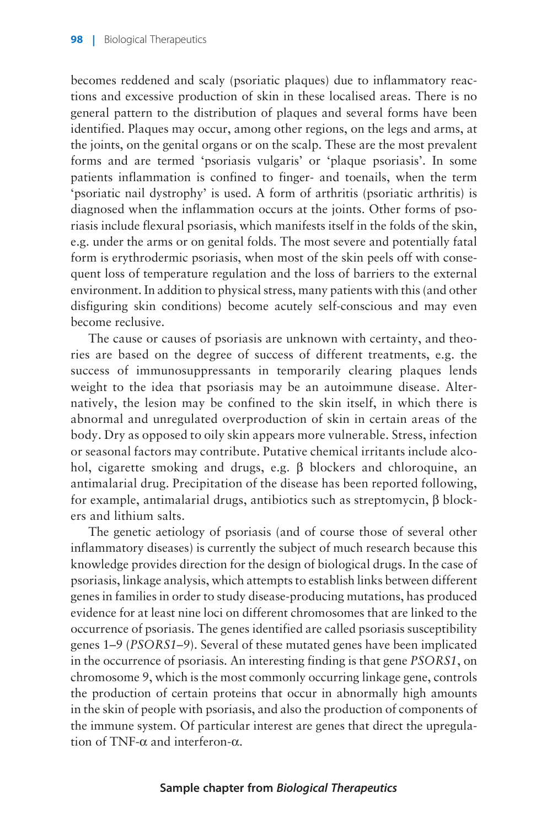becomes reddened and scaly (psoriatic plaques) due to inflammatory reactions and excessive production of skin in these localised areas. There is no general pattern to the distribution of plaques and several forms have been identified. Plaques may occur, among other regions, on the legs and arms, at the joints, on the genital organs or on the scalp. These are the most prevalent forms and are termed 'psoriasis vulgaris' or 'plaque psoriasis'. In some patients inflammation is confined to finger- and toenails, when the term 'psoriatic nail dystrophy' is used. A form of arthritis (psoriatic arthritis) is diagnosed when the inflammation occurs at the joints. Other forms of psoriasis include flexural psoriasis, which manifests itself in the folds of the skin, e.g. under the arms or on genital folds. The most severe and potentially fatal form is erythrodermic psoriasis, when most of the skin peels off with consequent loss of temperature regulation and the loss of barriers to the external environment. In addition to physical stress, many patients with this (and other disfiguring skin conditions) become acutely self-conscious and may even become reclusive.

The cause or causes of psoriasis are unknown with certainty, and theories are based on the degree of success of different treatments, e.g. the success of immunosuppressants in temporarily clearing plaques lends weight to the idea that psoriasis may be an autoimmune disease. Alternatively, the lesion may be confined to the skin itself, in which there is abnormal and unregulated overproduction of skin in certain areas of the body. Dry as opposed to oily skin appears more vulnerable. Stress, infection or seasonal factors may contribute. Putative chemical irritants include alcohol, cigarette smoking and drugs, e.g.  $\beta$  blockers and chloroquine, an antimalarial drug. Precipitation of the disease has been reported following, for example, antimalarial drugs, antibiotics such as streptomycin,  $\beta$  blockers and lithium salts.

The genetic aetiology of psoriasis (and of course those of several other inflammatory diseases) is currently the subject of much research because this knowledge provides direction for the design of biological drugs. In the case of psoriasis, linkage analysis, which attempts to establish links between different genes in families in order to study disease-producing mutations, has produced evidence for at least nine loci on different chromosomes that are linked to the occurrence of psoriasis. The genes identified are called psoriasis susceptibility genes 1–9 (PSORS1–9). Several of these mutated genes have been implicated in the occurrence of psoriasis. An interesting finding is that gene PSORS1, on chromosome 9, which is the most commonly occurring linkage gene, controls the production of certain proteins that occur in abnormally high amounts in the skin of people with psoriasis, and also the production of components of the immune system. Of particular interest are genes that direct the upregulation of TNF- $\alpha$  and interferon- $\alpha$ .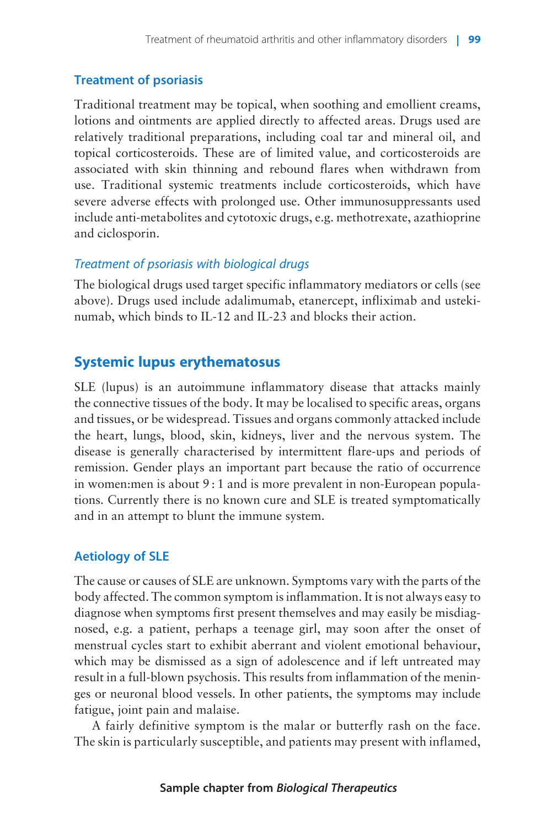# Treatment of psoriasis

Traditional treatment may be topical, when soothing and emollient creams, lotions and ointments are applied directly to affected areas. Drugs used are relatively traditional preparations, including coal tar and mineral oil, and topical corticosteroids. These are of limited value, and corticosteroids are associated with skin thinning and rebound flares when withdrawn from use. Traditional systemic treatments include corticosteroids, which have severe adverse effects with prolonged use. Other immunosuppressants used include anti-metabolites and cytotoxic drugs, e.g. methotrexate, azathioprine and ciclosporin.

# Treatment of psoriasis with biological drugs

The biological drugs used target specific inflammatory mediators or cells (see above). Drugs used include adalimumab, etanercept, infliximab and ustekinumab, which binds to IL-12 and IL-23 and blocks their action.

# Systemic lupus erythematosus

SLE (lupus) is an autoimmune inflammatory disease that attacks mainly the connective tissues of the body. It may be localised to specific areas, organs and tissues, or be widespread. Tissues and organs commonly attacked include the heart, lungs, blood, skin, kidneys, liver and the nervous system. The disease is generally characterised by intermittent flare-ups and periods of remission. Gender plays an important part because the ratio of occurrence in women:men is about 9 : 1 and is more prevalent in non-European populations. Currently there is no known cure and SLE is treated symptomatically and in an attempt to blunt the immune system.

# Aetiology of SLE

The cause or causes of SLE are unknown. Symptoms vary with the parts of the body affected. The common symptom is inflammation. It is not always easy to diagnose when symptoms first present themselves and may easily be misdiagnosed, e.g. a patient, perhaps a teenage girl, may soon after the onset of menstrual cycles start to exhibit aberrant and violent emotional behaviour, which may be dismissed as a sign of adolescence and if left untreated may result in a full-blown psychosis. This results from inflammation of the meninges or neuronal blood vessels. In other patients, the symptoms may include fatigue, joint pain and malaise.

A fairly definitive symptom is the malar or butterfly rash on the face. The skin is particularly susceptible, and patients may present with inflamed,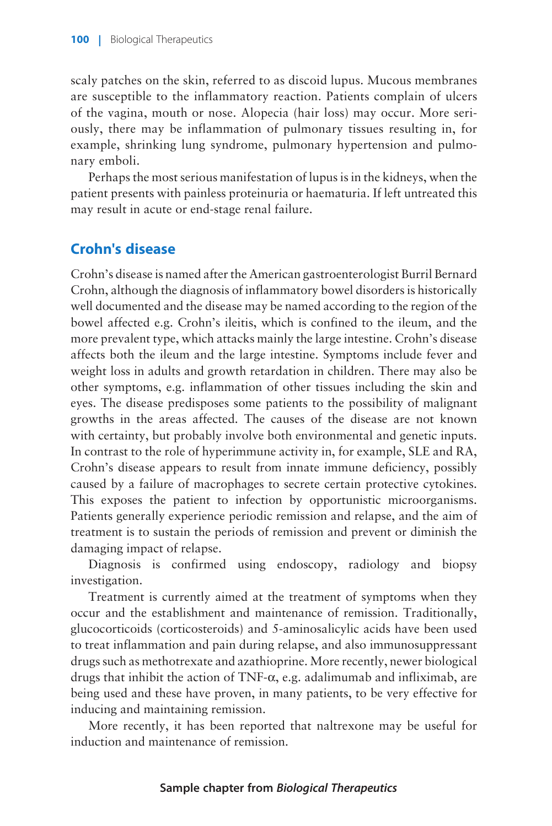scaly patches on the skin, referred to as discoid lupus. Mucous membranes are susceptible to the inflammatory reaction. Patients complain of ulcers of the vagina, mouth or nose. Alopecia (hair loss) may occur. More seriously, there may be inflammation of pulmonary tissues resulting in, for example, shrinking lung syndrome, pulmonary hypertension and pulmonary emboli.

Perhaps the most serious manifestation of lupus is in the kidneys, when the patient presents with painless proteinuria or haematuria. If left untreated this may result in acute or end-stage renal failure.

# Crohn's disease

Crohn's disease is named after the American gastroenterologist Burril Bernard Crohn, although the diagnosis of inflammatory bowel disorders is historically well documented and the disease may be named according to the region of the bowel affected e.g. Crohn's ileitis, which is confined to the ileum, and the more prevalent type, which attacks mainly the large intestine. Crohn's disease affects both the ileum and the large intestine. Symptoms include fever and weight loss in adults and growth retardation in children. There may also be other symptoms, e.g. inflammation of other tissues including the skin and eyes. The disease predisposes some patients to the possibility of malignant growths in the areas affected. The causes of the disease are not known with certainty, but probably involve both environmental and genetic inputs. In contrast to the role of hyperimmune activity in, for example, SLE and RA, Crohn's disease appears to result from innate immune deficiency, possibly caused by a failure of macrophages to secrete certain protective cytokines. This exposes the patient to infection by opportunistic microorganisms. Patients generally experience periodic remission and relapse, and the aim of treatment is to sustain the periods of remission and prevent or diminish the damaging impact of relapse.

Diagnosis is confirmed using endoscopy, radiology and biopsy investigation.

Treatment is currently aimed at the treatment of symptoms when they occur and the establishment and maintenance of remission. Traditionally, glucocorticoids (corticosteroids) and 5-aminosalicylic acids have been used to treat inflammation and pain during relapse, and also immunosuppressant drugs such as methotrexate and azathioprine. More recently, newer biological drugs that inhibit the action of TNF-a, e.g. adalimumab and infliximab, are being used and these have proven, in many patients, to be very effective for inducing and maintaining remission.

More recently, it has been reported that naltrexone may be useful for induction and maintenance of remission.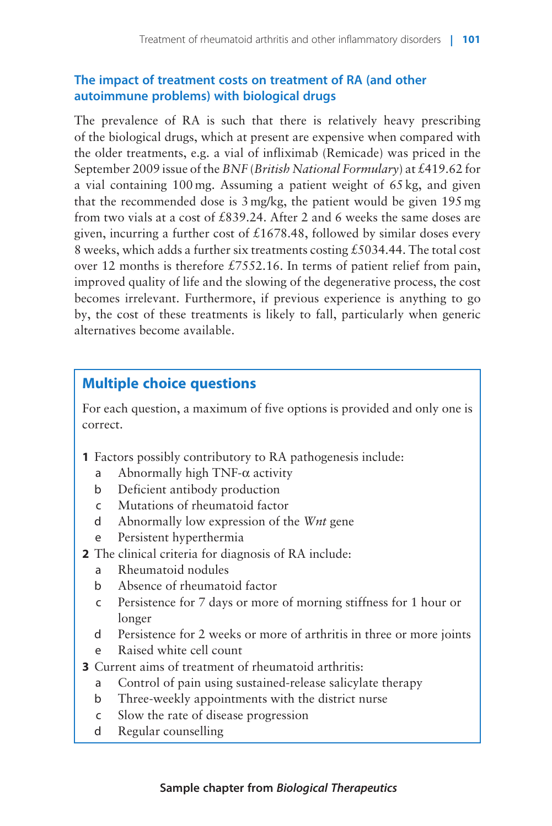# The impact of treatment costs on treatment of RA (and other autoimmune problems) with biological drugs

The prevalence of RA is such that there is relatively heavy prescribing of the biological drugs, which at present are expensive when compared with the older treatments, e.g. a vial of infliximab (Remicade) was priced in the September 2009 issue of the BNF (British National Formulary) at £419.62 for a vial containing 100 mg. Assuming a patient weight of 65 kg, and given that the recommended dose is 3 mg/kg, the patient would be given 195 mg from two vials at a cost of £839.24. After 2 and 6 weeks the same doses are given, incurring a further cost of  $£1678.48$ , followed by similar doses every 8 weeks, which adds a further six treatments costing £5034.44. The total cost over 12 months is therefore £7552.16. In terms of patient relief from pain, improved quality of life and the slowing of the degenerative process, the cost becomes irrelevant. Furthermore, if previous experience is anything to go by, the cost of these treatments is likely to fall, particularly when generic alternatives become available.

# Multiple choice questions

For each question, a maximum of five options is provided and only one is correct.

- 1 Factors possibly contributory to RA pathogenesis include:
	- a Abnormally high TNF- $\alpha$  activity
	- b Deficient antibody production
	- c Mutations of rheumatoid factor
	- d Abnormally low expression of the  $Wnt$  gene
	- e Persistent hyperthermia
- 2 The clinical criteria for diagnosis of RA include:
	- a Rheumatoid nodules
	- b Absence of rheumatoid factor
	- c Persistence for 7 days or more of morning stiffness for 1 hour or longer
	- d Persistence for 2 weeks or more of arthritis in three or more joints
	- e Raised white cell count
- 3 Current aims of treatment of rheumatoid arthritis:
	- a Control of pain using sustained-release salicylate therapy
	- b Three-weekly appointments with the district nurse
	- c Slow the rate of disease progression
	- d Regular counselling